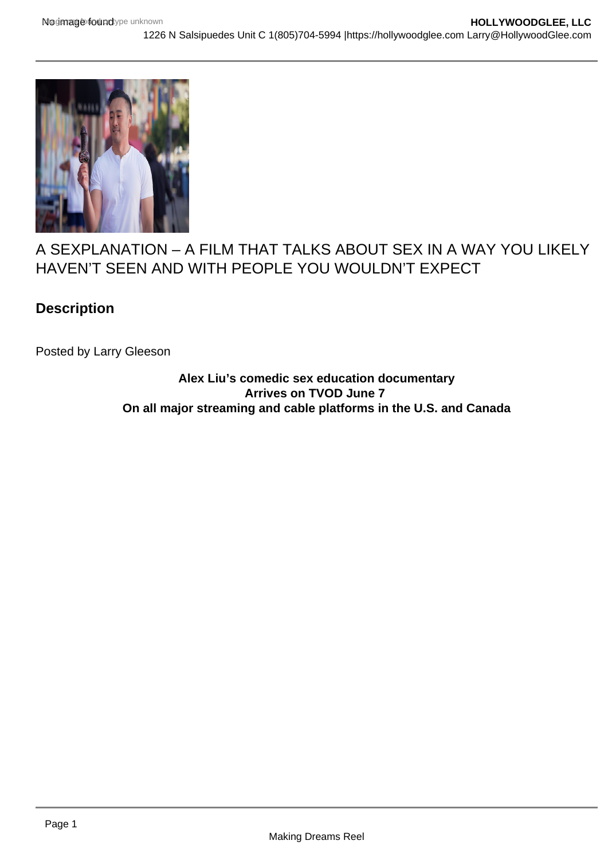

## A SEXPLANATION – A FILM THAT TALKS ABOUT SEX IN A WAY YOU LIKELY HAVEN'T SEEN AND WITH PEOPLE YOU WOULDN'T EXPECT

## **Description**

Posted by Larry Gleeson

**Alex Liu's comedic sex education documentary Arrives on TVOD June 7 On all major streaming and cable platforms in the U.S. and Canada**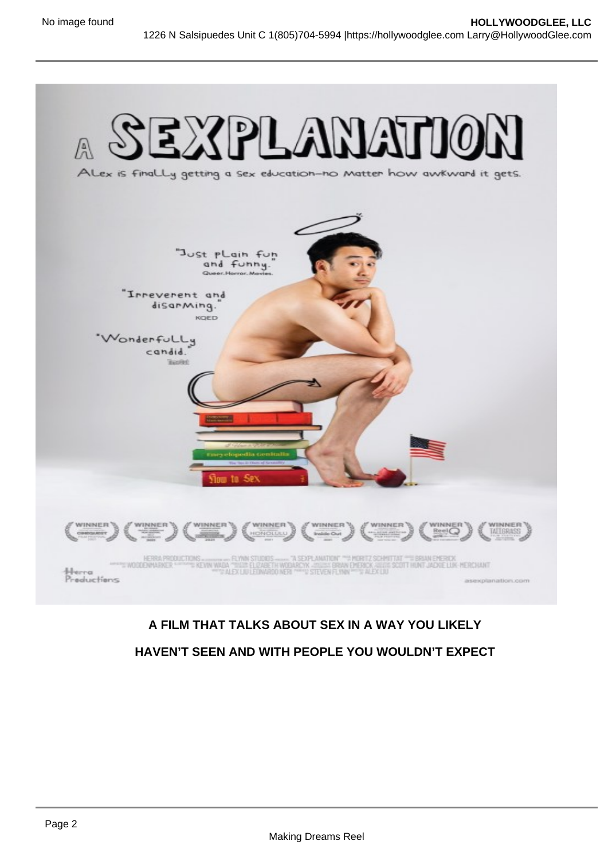## A FILM THAT TALKS ABOUT SEX IN A WAY YOU LIKELY HAVEN'T SEEN AND WITH PEOPLE YOU WOULDN'T EXPECT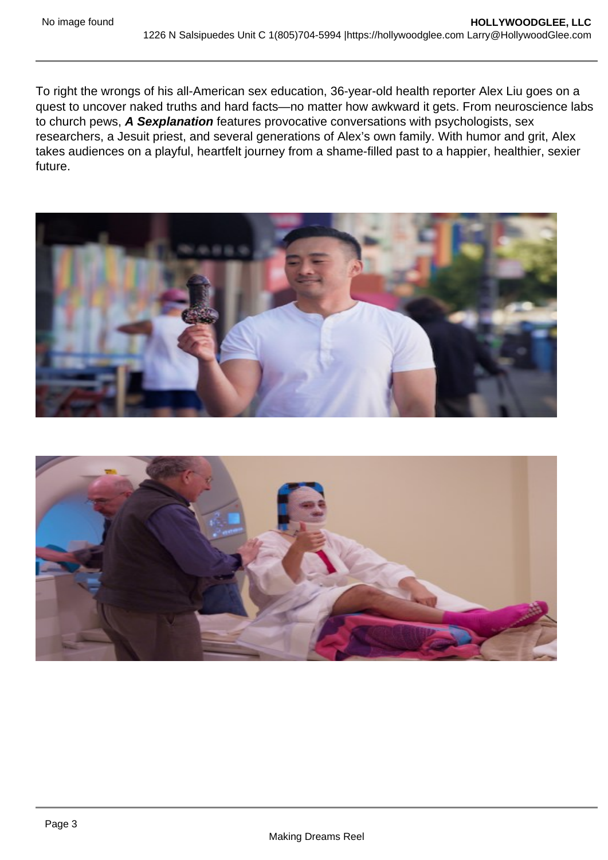To right the wrongs of his all-American sex education, 36-year-old health reporter Alex Liu goes on a quest to uncover naked truths and hard facts—no matter how awkward it gets. From neuroscience labs to church pews, A Sexplanation features provocative conversations with psychologists, sex researchers, a Jesuit priest, and several generations of Alex's own family. With humor and grit, Alex takes audiences on a playful, heartfelt journey from a shame-filled past to a happier, healthier, sexier future.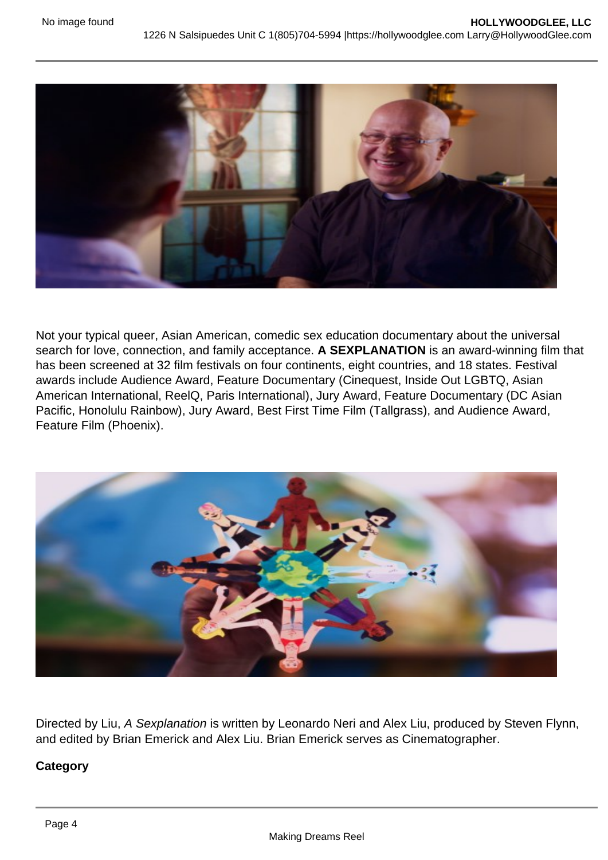Not your typical queer, Asian American, comedic sex education documentary about the universal search for love, connection, and family acceptance. A SEXPLANATION is an award-winning film that has been screened at 32 film festivals on four continents, eight countries, and 18 states. Festival awards include Audience Award, Feature Documentary (Cinequest, Inside Out LGBTQ, Asian American International, ReelQ, Paris International), Jury Award, Feature Documentary (DC Asian Pacific, Honolulu Rainbow), Jury Award, Best First Time Film (Tallgrass), and Audience Award, Feature Film (Phoenix).

Directed by Liu, A Sexplanation is written by Leonardo Neri and Alex Liu, produced by Steven Flynn, and edited by Brian Emerick and Alex Liu. Brian Emerick serves as Cinematographer.

**Category**